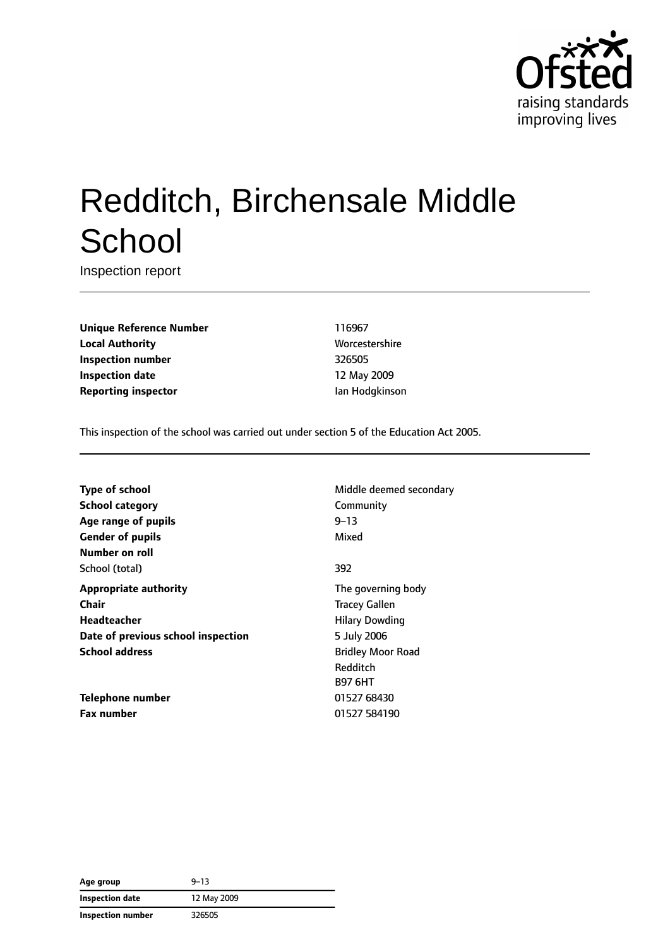

# Redditch, Birchensale Middle **School**

Inspection report

**Unique Reference Number** 116967 **Local Authority Music Constanting Worcestershire Worcestershire Inspection number** 326505 **Inspection date** 12 May 2009 **Reporting inspector In the Internal Intervalse Separate Ian Hodgkinson** 

This inspection of the school was carried out under section 5 of the Education Act 2005.

**Type of school** Middle deemed secondary **School category** Community **Age range of pupils** 9–13 **Gender of pupils** Mixed **Number on roll** School (total) 392 **Appropriate authority** The governing body **Chair** Tracey Gallen **Headteacher Hilary Dowding Date of previous school inspection** 5 July 2006 **School address** Bridley Moor Road

**Telephone number** 01527 68430 **Fax number** 01527 584190

Redditch B97 6HT

| Age group              | $9 - 13$    |  |
|------------------------|-------------|--|
| <b>Inspection date</b> | 12 May 2009 |  |
| Inspection number      | 326505      |  |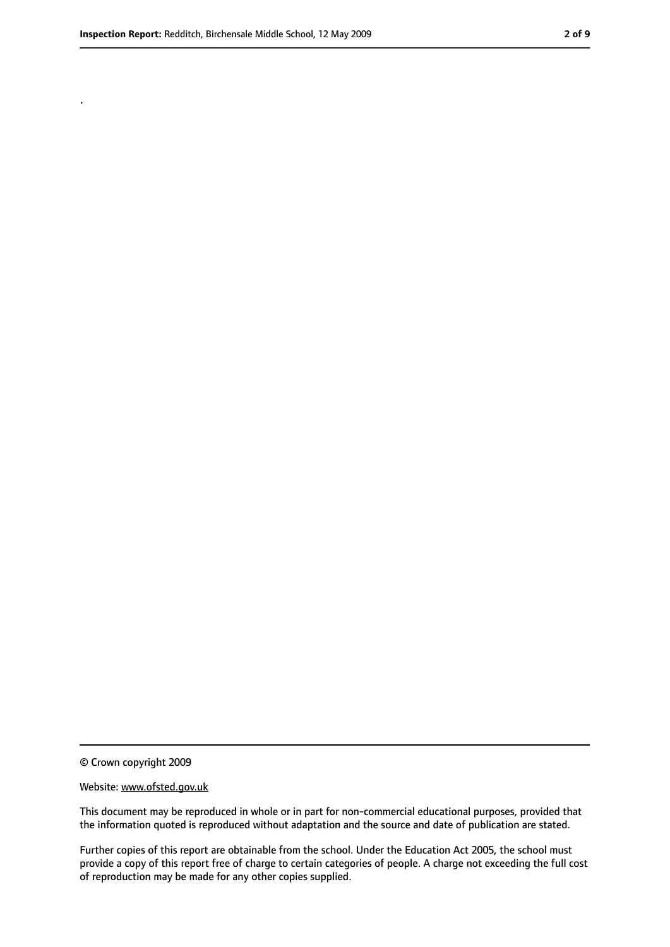.

<sup>©</sup> Crown copyright 2009

Website: www.ofsted.gov.uk

This document may be reproduced in whole or in part for non-commercial educational purposes, provided that the information quoted is reproduced without adaptation and the source and date of publication are stated.

Further copies of this report are obtainable from the school. Under the Education Act 2005, the school must provide a copy of this report free of charge to certain categories of people. A charge not exceeding the full cost of reproduction may be made for any other copies supplied.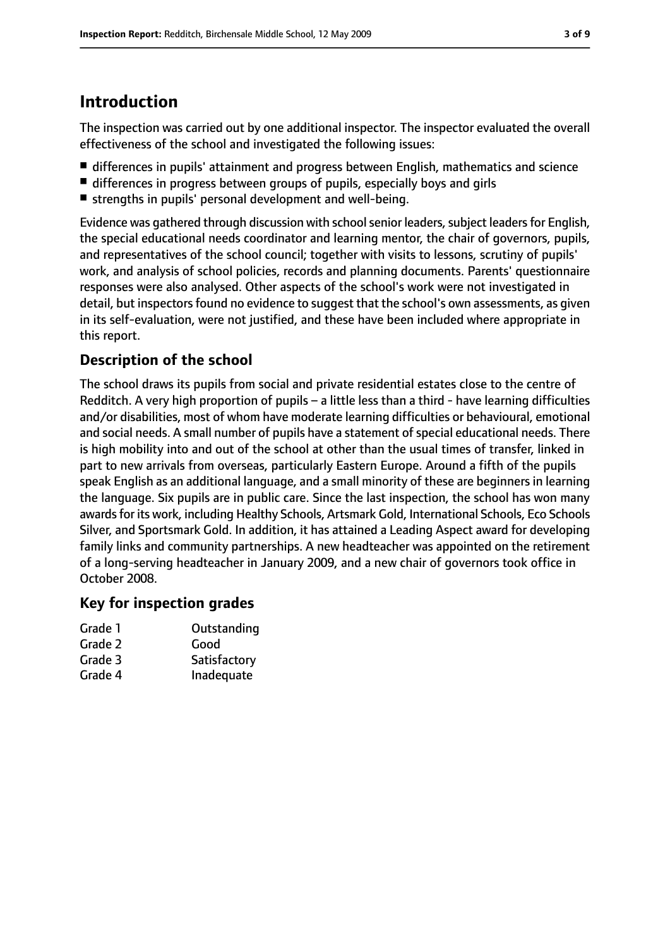# **Introduction**

The inspection was carried out by one additional inspector. The inspector evaluated the overall effectiveness of the school and investigated the following issues:

- differences in pupils' attainment and progress between English, mathematics and science
- differences in progress between groups of pupils, especially boys and girls
- strengths in pupils' personal development and well-being.

Evidence was gathered through discussion with school senior leaders, subject leaders for English, the special educational needs coordinator and learning mentor, the chair of governors, pupils, and representatives of the school council; together with visits to lessons, scrutiny of pupils' work, and analysis of school policies, records and planning documents. Parents' questionnaire responses were also analysed. Other aspects of the school's work were not investigated in detail, but inspectors found no evidence to suggest that the school's own assessments, as given in its self-evaluation, were not justified, and these have been included where appropriate in this report.

#### **Description of the school**

The school draws its pupils from social and private residential estates close to the centre of Redditch. A very high proportion of pupils – a little less than a third - have learning difficulties and/or disabilities, most of whom have moderate learning difficulties or behavioural, emotional and social needs. A small number of pupils have a statement of special educational needs. There is high mobility into and out of the school at other than the usual times of transfer, linked in part to new arrivals from overseas, particularly Eastern Europe. Around a fifth of the pupils speak English as an additional language, and a small minority of these are beginners in learning the language. Six pupils are in public care. Since the last inspection, the school has won many awards for its work, including Healthy Schools, Artsmark Gold, International Schools, Eco Schools Silver, and Sportsmark Gold. In addition, it has attained a Leading Aspect award for developing family links and community partnerships. A new headteacher was appointed on the retirement of a long-serving headteacher in January 2009, and a new chair of governors took office in October 2008.

#### **Key for inspection grades**

| Grade 1 | Outstanding  |
|---------|--------------|
| Grade 2 | Good         |
| Grade 3 | Satisfactory |
| Grade 4 | Inadequate   |
|         |              |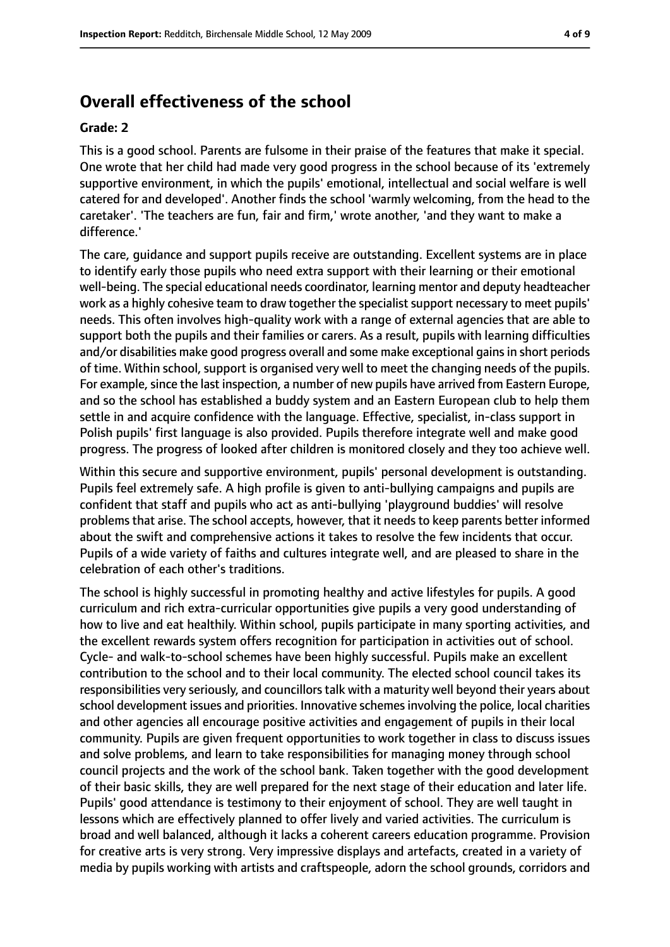#### **Overall effectiveness of the school**

#### **Grade: 2**

This is a good school. Parents are fulsome in their praise of the features that make it special. One wrote that her child had made very good progress in the school because of its 'extremely supportive environment, in which the pupils' emotional, intellectual and social welfare is well catered for and developed'. Another finds the school 'warmly welcoming, from the head to the caretaker'. 'The teachers are fun, fair and firm,' wrote another, 'and they want to make a difference.'

The care, guidance and support pupils receive are outstanding. Excellent systems are in place to identify early those pupils who need extra support with their learning or their emotional well-being. The special educational needs coordinator, learning mentor and deputy headteacher work as a highly cohesive team to draw together the specialist support necessary to meet pupils' needs. This often involves high-quality work with a range of external agencies that are able to support both the pupils and their families or carers. As a result, pupils with learning difficulties and/or disabilities make good progress overall and some make exceptional gains in short periods of time. Within school, support is organised very well to meet the changing needs of the pupils. For example, since the last inspection, a number of new pupils have arrived from Eastern Europe, and so the school has established a buddy system and an Eastern European club to help them settle in and acquire confidence with the language. Effective, specialist, in-class support in Polish pupils' first language is also provided. Pupils therefore integrate well and make good progress. The progress of looked after children is monitored closely and they too achieve well.

Within this secure and supportive environment, pupils' personal development is outstanding. Pupils feel extremely safe. A high profile is given to anti-bullying campaigns and pupils are confident that staff and pupils who act as anti-bullying 'playground buddies' will resolve problems that arise. The school accepts, however, that it needs to keep parents better informed about the swift and comprehensive actions it takes to resolve the few incidents that occur. Pupils of a wide variety of faiths and cultures integrate well, and are pleased to share in the celebration of each other's traditions.

The school is highly successful in promoting healthy and active lifestyles for pupils. A good curriculum and rich extra-curricular opportunities give pupils a very good understanding of how to live and eat healthily. Within school, pupils participate in many sporting activities, and the excellent rewards system offers recognition for participation in activities out of school. Cycle- and walk-to-school schemes have been highly successful. Pupils make an excellent contribution to the school and to their local community. The elected school council takes its responsibilities very seriously, and councillors talk with a maturity well beyond their years about school development issues and priorities. Innovative schemes involving the police, local charities and other agencies all encourage positive activities and engagement of pupils in their local community. Pupils are given frequent opportunities to work together in class to discuss issues and solve problems, and learn to take responsibilities for managing money through school council projects and the work of the school bank. Taken together with the good development of their basic skills, they are well prepared for the next stage of their education and later life. Pupils' good attendance is testimony to their enjoyment of school. They are well taught in lessons which are effectively planned to offer lively and varied activities. The curriculum is broad and well balanced, although it lacks a coherent careers education programme. Provision for creative arts is very strong. Very impressive displays and artefacts, created in a variety of media by pupils working with artists and craftspeople, adorn the school grounds, corridors and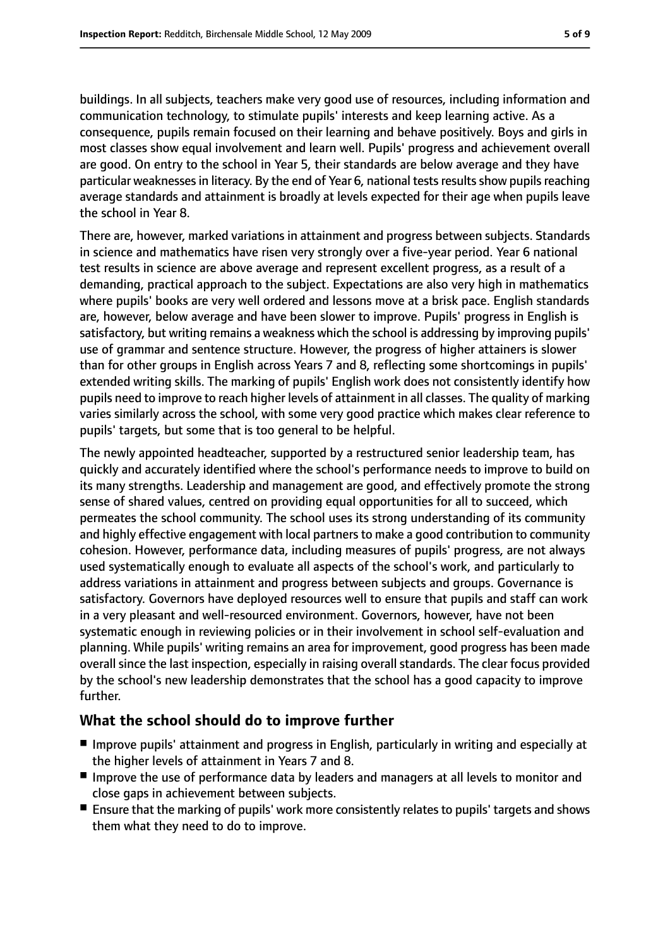buildings. In all subjects, teachers make very good use of resources, including information and communication technology, to stimulate pupils' interests and keep learning active. As a consequence, pupils remain focused on their learning and behave positively. Boys and girls in most classes show equal involvement and learn well. Pupils' progress and achievement overall are good. On entry to the school in Year 5, their standards are below average and they have particular weaknesses in literacy. By the end of Year 6, national tests results show pupils reaching average standards and attainment is broadly at levels expected for their age when pupils leave the school in Year 8.

There are, however, marked variations in attainment and progress between subjects. Standards in science and mathematics have risen very strongly over a five-year period. Year 6 national test results in science are above average and represent excellent progress, as a result of a demanding, practical approach to the subject. Expectations are also very high in mathematics where pupils' books are very well ordered and lessons move at a brisk pace. English standards are, however, below average and have been slower to improve. Pupils' progress in English is satisfactory, but writing remains a weakness which the school is addressing by improving pupils' use of grammar and sentence structure. However, the progress of higher attainers is slower than for other groups in English across Years 7 and 8, reflecting some shortcomings in pupils' extended writing skills. The marking of pupils' English work does not consistently identify how pupils need to improve to reach higher levels of attainment in all classes. The quality of marking varies similarly across the school, with some very good practice which makes clear reference to pupils' targets, but some that is too general to be helpful.

The newly appointed headteacher, supported by a restructured senior leadership team, has quickly and accurately identified where the school's performance needs to improve to build on its many strengths. Leadership and management are good, and effectively promote the strong sense of shared values, centred on providing equal opportunities for all to succeed, which permeates the school community. The school uses its strong understanding of its community and highly effective engagement with local partners to make a good contribution to community cohesion. However, performance data, including measures of pupils' progress, are not always used systematically enough to evaluate all aspects of the school's work, and particularly to address variations in attainment and progress between subjects and groups. Governance is satisfactory. Governors have deployed resources well to ensure that pupils and staff can work in a very pleasant and well-resourced environment. Governors, however, have not been systematic enough in reviewing policies or in their involvement in school self-evaluation and planning. While pupils' writing remains an area for improvement, good progress has been made overall since the last inspection, especially in raising overall standards. The clear focus provided by the school's new leadership demonstrates that the school has a good capacity to improve further.

#### **What the school should do to improve further**

- Improve pupils' attainment and progress in English, particularly in writing and especially at the higher levels of attainment in Years 7 and 8.
- Improve the use of performance data by leaders and managers at all levels to monitor and close gaps in achievement between subjects.
- Ensure that the marking of pupils' work more consistently relates to pupils' targets and shows them what they need to do to improve.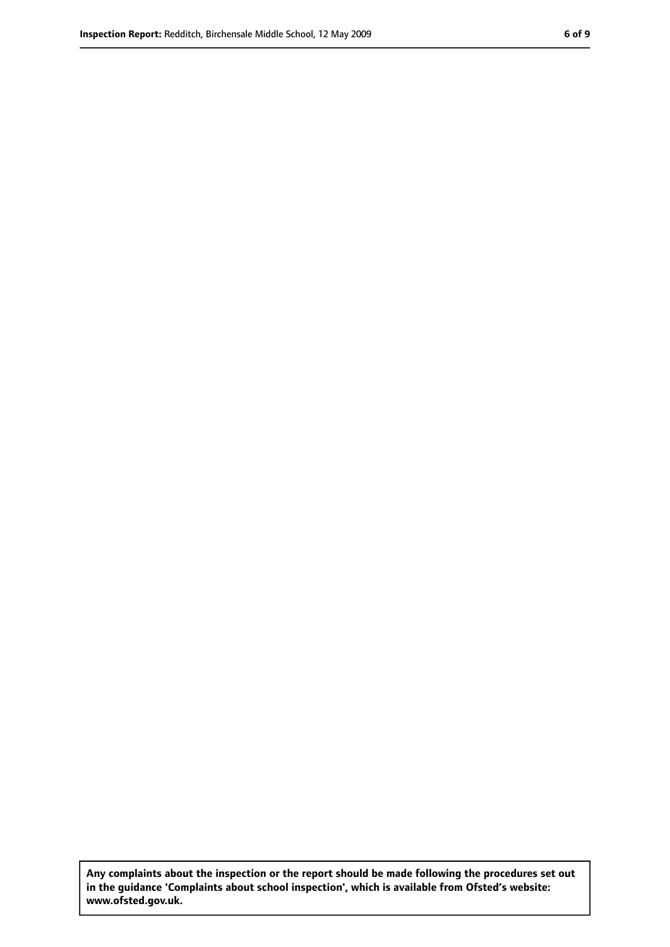**Any complaints about the inspection or the report should be made following the procedures set out in the guidance 'Complaints about school inspection', which is available from Ofsted's website: www.ofsted.gov.uk.**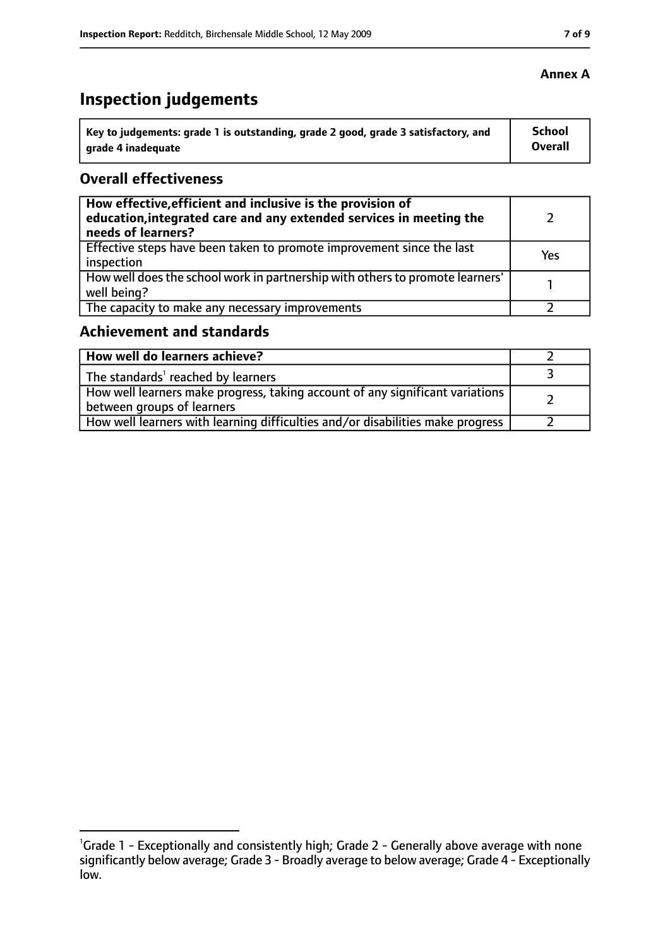# **Inspection judgements**

| Key to judgements: grade 1 is outstanding, grade 2 good, grade 3 satisfactory, and | School  |
|------------------------------------------------------------------------------------|---------|
| arade 4 inadequate                                                                 | Overall |

#### **Overall effectiveness**

| How effective, efficient and inclusive is the provision of<br>education, integrated care and any extended services in meeting the<br>needs of learners? |     |
|---------------------------------------------------------------------------------------------------------------------------------------------------------|-----|
| Effective steps have been taken to promote improvement since the last<br>inspection                                                                     | Yes |
| How well does the school work in partnership with others to promote learners'<br>well being?                                                            |     |
| The capacity to make any necessary improvements                                                                                                         |     |

## **Achievement and standards**

| How well do learners achieve?                                                                                 |  |
|---------------------------------------------------------------------------------------------------------------|--|
| The standards' reached by learners                                                                            |  |
| How well learners make progress, taking account of any significant variations  <br>between groups of learners |  |
| How well learners with learning difficulties and/or disabilities make progress                                |  |

<sup>&</sup>lt;sup>1</sup>Grade 1 - Exceptionally and consistently high; Grade 2 - Generally above average with none significantly below average; Grade 3 - Broadly average to below average; Grade 4 - Exceptionally low.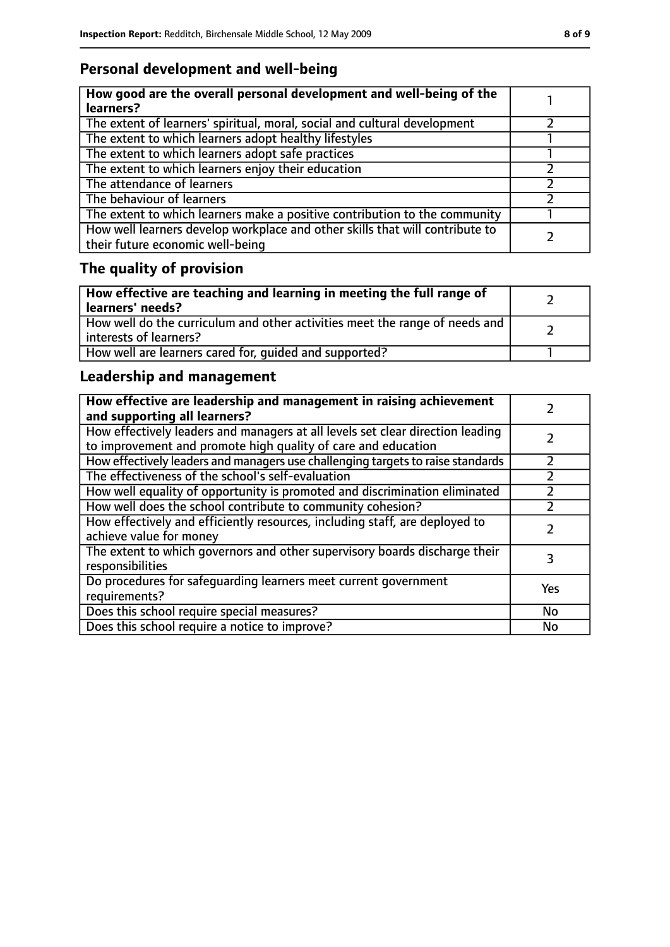## **Personal development and well-being**

| How good are the overall personal development and well-being of the<br>learners?                                 |  |
|------------------------------------------------------------------------------------------------------------------|--|
| The extent of learners' spiritual, moral, social and cultural development                                        |  |
| The extent to which learners adopt healthy lifestyles                                                            |  |
| The extent to which learners adopt safe practices                                                                |  |
| The extent to which learners enjoy their education                                                               |  |
| The attendance of learners                                                                                       |  |
| The behaviour of learners                                                                                        |  |
| The extent to which learners make a positive contribution to the community                                       |  |
| How well learners develop workplace and other skills that will contribute to<br>their future economic well-being |  |

# **The quality of provision**

| How effective are teaching and learning in meeting the full range of<br>learners' needs?              |  |
|-------------------------------------------------------------------------------------------------------|--|
| How well do the curriculum and other activities meet the range of needs and<br>interests of learners? |  |
| How well are learners cared for, quided and supported?                                                |  |

## **Leadership and management**

| How effective are leadership and management in raising achievement<br>and supporting all learners?                                              |     |
|-------------------------------------------------------------------------------------------------------------------------------------------------|-----|
| How effectively leaders and managers at all levels set clear direction leading<br>to improvement and promote high quality of care and education |     |
| How effectively leaders and managers use challenging targets to raise standards                                                                 |     |
| The effectiveness of the school's self-evaluation                                                                                               |     |
| How well equality of opportunity is promoted and discrimination eliminated                                                                      |     |
| How well does the school contribute to community cohesion?                                                                                      | フ   |
| How effectively and efficiently resources, including staff, are deployed to<br>achieve value for money                                          |     |
| The extent to which governors and other supervisory boards discharge their<br>responsibilities                                                  | 3   |
| Do procedures for safequarding learners meet current government<br>requirements?                                                                | Yes |
| Does this school require special measures?                                                                                                      | No  |
| Does this school require a notice to improve?                                                                                                   | No  |